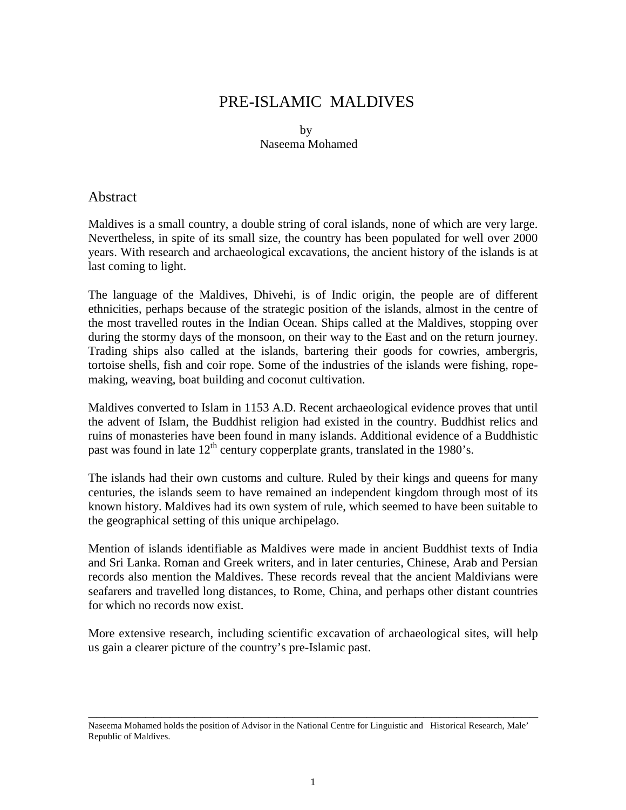# PRE-ISLAMIC MALDIVES

**by** Naseema Mohamed

#### Abstract

Maldives is a small country, a double string of coral islands, none of which are very large. Nevertheless, in spite of its small size, the country has been populated for well over 2000 years. With research and archaeological excavations, the ancient history of the islands is at last coming to light.

The language of the Maldives, Dhivehi, is of Indic origin, the people are of different ethnicities, perhaps because of the strategic position of the islands, almost in the centre of the most travelled routes in the Indian Ocean. Ships called at the Maldives, stopping over during the stormy days of the monsoon, on their way to the East and on the return journey. Trading ships also called at the islands, bartering their goods for cowries, ambergris, tortoise shells, fish and coir rope. Some of the industries of the islands were fishing, ropemaking, weaving, boat building and coconut cultivation.

Maldives converted to Islam in 1153 A.D. Recent archaeological evidence proves that until the advent of Islam, the Buddhist religion had existed in the country. Buddhist relics and ruins of monasteries have been found in many islands. Additional evidence of a Buddhistic past was found in late  $12<sup>th</sup>$  century copperplate grants, translated in the 1980's.

The islands had their own customs and culture. Ruled by their kings and queens for many centuries, the islands seem to have remained an independent kingdom through most of its known history. Maldives had its own system of rule, which seemed to have been suitable to the geographical setting of this unique archipelago.

Mention of islands identifiable as Maldives were made in ancient Buddhist texts of India and Sri Lanka. Roman and Greek writers, and in later centuries, Chinese, Arab and Persian records also mention the Maldives. These records reveal that the ancient Maldivians were seafarers and travelled long distances, to Rome, China, and perhaps other distant countries for which no records now exist.

More extensive research, including scientific excavation of archaeological sites, will help us gain a clearer picture of the country's pre-Islamic past.

\_\_\_\_\_\_\_\_\_\_\_\_\_\_\_\_\_\_\_\_\_\_\_\_\_\_\_\_\_\_\_\_\_\_\_\_\_\_\_\_\_\_\_\_\_\_\_\_\_\_\_\_\_\_\_

Naseema Mohamed holds the position of Advisor in the National Centre for Linguistic and Historical Research, Male' Republic of Maldives.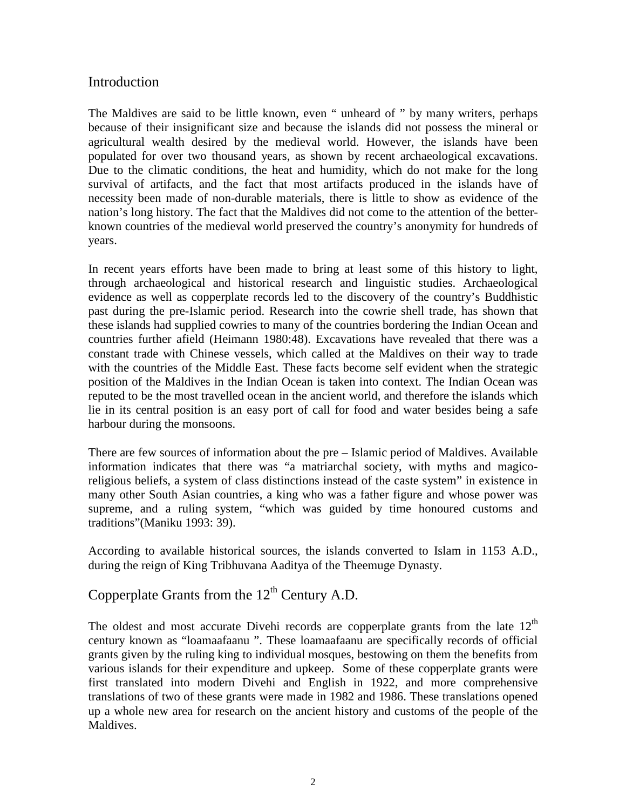## Introduction

The Maldives are said to be little known, even " unheard of " by many writers, perhaps because of their insignificant size and because the islands did not possess the mineral or agricultural wealth desired by the medieval world. However, the islands have been populated for over two thousand years, as shown by recent archaeological excavations. Due to the climatic conditions, the heat and humidity, which do not make for the long survival of artifacts, and the fact that most artifacts produced in the islands have of necessity been made of non-durable materials, there is little to show as evidence of the nation's long history. The fact that the Maldives did not come to the attention of the betterknown countries of the medieval world preserved the country's anonymity for hundreds of years.

In recent years efforts have been made to bring at least some of this history to light, through archaeological and historical research and linguistic studies. Archaeological evidence as well as copperplate records led to the discovery of the country's Buddhistic past during the pre-Islamic period. Research into the cowrie shell trade, has shown that these islands had supplied cowries to many of the countries bordering the Indian Ocean and countries further afield (Heimann 1980:48). Excavations have revealed that there was a constant trade with Chinese vessels, which called at the Maldives on their way to trade with the countries of the Middle East. These facts become self evident when the strategic position of the Maldives in the Indian Ocean is taken into context. The Indian Ocean was reputed to be the most travelled ocean in the ancient world, and therefore the islands which lie in its central position is an easy port of call for food and water besides being a safe harbour during the monsoons.

There are few sources of information about the pre – Islamic period of Maldives. Available information indicates that there was "a matriarchal society, with myths and magicoreligious beliefs, a system of class distinctions instead of the caste system" in existence in many other South Asian countries, a king who was a father figure and whose power was supreme, and a ruling system, "which was guided by time honoured customs and traditions"(Maniku 1993: 39).

According to available historical sources, the islands converted to Islam in 1153 A.D., during the reign of King Tribhuvana Aaditya of the Theemuge Dynasty.

## Copperplate Grants from the  $12<sup>th</sup>$  Century A.D.

The oldest and most accurate Divehi records are copperplate grants from the late  $12<sup>th</sup>$ century known as "loamaafaanu ". These loamaafaanu are specifically records of official grants given by the ruling king to individual mosques, bestowing on them the benefits from various islands for their expenditure and upkeep. Some of these copperplate grants were first translated into modern Divehi and English in 1922, and more comprehensive translations of two of these grants were made in 1982 and 1986. These translations opened up a whole new area for research on the ancient history and customs of the people of the Maldives.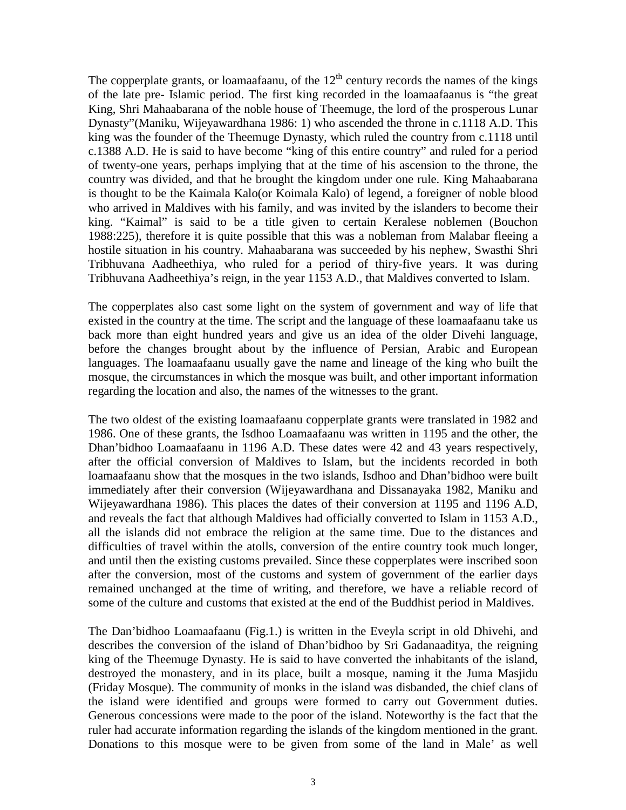The copperplate grants, or loamaafaanu, of the  $12<sup>th</sup>$  century records the names of the kings of the late pre- Islamic period. The first king recorded in the loamaafaanus is "the great King, Shri Mahaabarana of the noble house of Theemuge, the lord of the prosperous Lunar Dynasty"(Maniku, Wijeyawardhana 1986: 1) who ascended the throne in c.1118 A.D. This king was the founder of the Theemuge Dynasty, which ruled the country from c.1118 until c.1388 A.D. He is said to have become "king of this entire country" and ruled for a period of twenty-one years, perhaps implying that at the time of his ascension to the throne, the country was divided, and that he brought the kingdom under one rule. King Mahaabarana is thought to be the Kaimala Kalo(or Koimala Kalo) of legend, a foreigner of noble blood who arrived in Maldives with his family, and was invited by the islanders to become their king. "Kaimal" is said to be a title given to certain Keralese noblemen (Bouchon 1988:225), therefore it is quite possible that this was a nobleman from Malabar fleeing a hostile situation in his country. Mahaabarana was succeeded by his nephew, Swasthi Shri Tribhuvana Aadheethiya, who ruled for a period of thiry-five years. It was during Tribhuvana Aadheethiya's reign, in the year 1153 A.D., that Maldives converted to Islam.

The copperplates also cast some light on the system of government and way of life that existed in the country at the time. The script and the language of these loamaafaanu take us back more than eight hundred years and give us an idea of the older Divehi language, before the changes brought about by the influence of Persian, Arabic and European languages. The loamaafaanu usually gave the name and lineage of the king who built the mosque, the circumstances in which the mosque was built, and other important information regarding the location and also, the names of the witnesses to the grant.

The two oldest of the existing loamaafaanu copperplate grants were translated in 1982 and 1986. One of these grants, the Isdhoo Loamaafaanu was written in 1195 and the other, the Dhan'bidhoo Loamaafaanu in 1196 A.D. These dates were 42 and 43 years respectively, after the official conversion of Maldives to Islam, but the incidents recorded in both loamaafaanu show that the mosques in the two islands, Isdhoo and Dhan'bidhoo were built immediately after their conversion (Wijeyawardhana and Dissanayaka 1982, Maniku and Wijeyawardhana 1986). This places the dates of their conversion at 1195 and 1196 A.D, and reveals the fact that although Maldives had officially converted to Islam in 1153 A.D., all the islands did not embrace the religion at the same time. Due to the distances and difficulties of travel within the atolls, conversion of the entire country took much longer, and until then the existing customs prevailed. Since these copperplates were inscribed soon after the conversion, most of the customs and system of government of the earlier days remained unchanged at the time of writing, and therefore, we have a reliable record of some of the culture and customs that existed at the end of the Buddhist period in Maldives.

The Dan'bidhoo Loamaafaanu (Fig.1.) is written in the Eveyla script in old Dhivehi, and describes the conversion of the island of Dhan'bidhoo by Sri Gadanaaditya, the reigning king of the Theemuge Dynasty. He is said to have converted the inhabitants of the island, destroyed the monastery, and in its place, built a mosque, naming it the Juma Masjidu (Friday Mosque). The community of monks in the island was disbanded, the chief clans of the island were identified and groups were formed to carry out Government duties. Generous concessions were made to the poor of the island. Noteworthy is the fact that the ruler had accurate information regarding the islands of the kingdom mentioned in the grant. Donations to this mosque were to be given from some of the land in Male' as well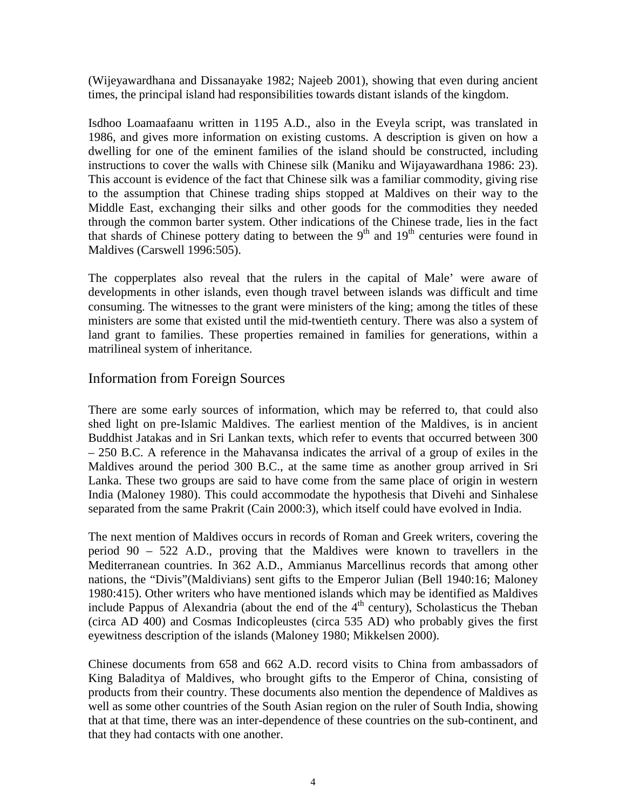(Wijeyawardhana and Dissanayake 1982; Najeeb 2001), showing that even during ancient times, the principal island had responsibilities towards distant islands of the kingdom.

Isdhoo Loamaafaanu written in 1195 A.D., also in the Eveyla script, was translated in 1986, and gives more information on existing customs. A description is given on how a dwelling for one of the eminent families of the island should be constructed, including instructions to cover the walls with Chinese silk (Maniku and Wijayawardhana 1986: 23). This account is evidence of the fact that Chinese silk was a familiar commodity, giving rise to the assumption that Chinese trading ships stopped at Maldives on their way to the Middle East, exchanging their silks and other goods for the commodities they needed through the common barter system. Other indications of the Chinese trade, lies in the fact that shards of Chinese pottery dating to between the  $9<sup>th</sup>$  and  $19<sup>th</sup>$  centuries were found in Maldives (Carswell 1996:505).

The copperplates also reveal that the rulers in the capital of Male' were aware of developments in other islands, even though travel between islands was difficult and time consuming. The witnesses to the grant were ministers of the king; among the titles of these ministers are some that existed until the mid-twentieth century. There was also a system of land grant to families. These properties remained in families for generations, within a matrilineal system of inheritance.

## Information from Foreign Sources

There are some early sources of information, which may be referred to, that could also shed light on pre-Islamic Maldives. The earliest mention of the Maldives, is in ancient Buddhist Jatakas and in Sri Lankan texts, which refer to events that occurred between 300 – 250 B.C. A reference in the Mahavansa indicates the arrival of a group of exiles in the Maldives around the period 300 B.C., at the same time as another group arrived in Sri Lanka. These two groups are said to have come from the same place of origin in western India (Maloney 1980). This could accommodate the hypothesis that Divehi and Sinhalese separated from the same Prakrit (Cain 2000:3), which itself could have evolved in India.

The next mention of Maldives occurs in records of Roman and Greek writers, covering the period 90 – 522 A.D., proving that the Maldives were known to travellers in the Mediterranean countries. In 362 A.D., Ammianus Marcellinus records that among other nations, the "Divis"(Maldivians) sent gifts to the Emperor Julian (Bell 1940:16; Maloney 1980:415). Other writers who have mentioned islands which may be identified as Maldives include Pappus of Alexandria (about the end of the  $4<sup>th</sup>$  century), Scholasticus the Theban (circa AD 400) and Cosmas Indicopleustes (circa 535 AD) who probably gives the first eyewitness description of the islands (Maloney 1980; Mikkelsen 2000).

Chinese documents from 658 and 662 A.D. record visits to China from ambassadors of King Baladitya of Maldives, who brought gifts to the Emperor of China, consisting of products from their country. These documents also mention the dependence of Maldives as well as some other countries of the South Asian region on the ruler of South India, showing that at that time, there was an inter-dependence of these countries on the sub-continent, and that they had contacts with one another.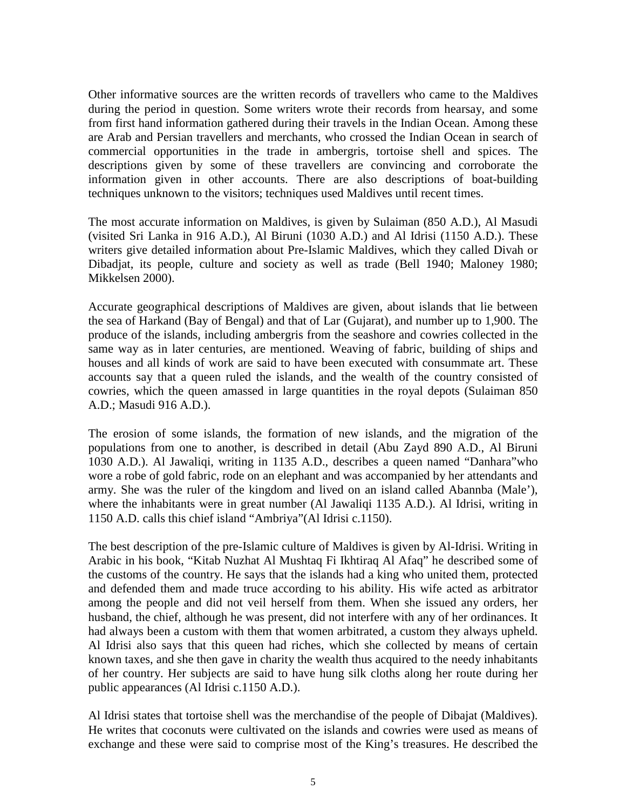Other informative sources are the written records of travellers who came to the Maldives during the period in question. Some writers wrote their records from hearsay, and some from first hand information gathered during their travels in the Indian Ocean. Among these are Arab and Persian travellers and merchants, who crossed the Indian Ocean in search of commercial opportunities in the trade in ambergris, tortoise shell and spices. The descriptions given by some of these travellers are convincing and corroborate the information given in other accounts. There are also descriptions of boat-building techniques unknown to the visitors; techniques used Maldives until recent times.

The most accurate information on Maldives, is given by Sulaiman (850 A.D.), Al Masudi (visited Sri Lanka in 916 A.D.), Al Biruni (1030 A.D.) and Al Idrisi (1150 A.D.). These writers give detailed information about Pre-Islamic Maldives, which they called Divah or Dibadjat, its people, culture and society as well as trade (Bell 1940; Maloney 1980; Mikkelsen 2000).

Accurate geographical descriptions of Maldives are given, about islands that lie between the sea of Harkand (Bay of Bengal) and that of Lar (Gujarat), and number up to 1,900. The produce of the islands, including ambergris from the seashore and cowries collected in the same way as in later centuries, are mentioned. Weaving of fabric, building of ships and houses and all kinds of work are said to have been executed with consummate art. These accounts say that a queen ruled the islands, and the wealth of the country consisted of cowries, which the queen amassed in large quantities in the royal depots (Sulaiman 850 A.D.; Masudi 916 A.D.).

The erosion of some islands, the formation of new islands, and the migration of the populations from one to another, is described in detail (Abu Zayd 890 A.D., Al Biruni 1030 A.D.). Al Jawaliqi, writing in 1135 A.D., describes a queen named "Danhara"who wore a robe of gold fabric, rode on an elephant and was accompanied by her attendants and army. She was the ruler of the kingdom and lived on an island called Abannba (Male'), where the inhabitants were in great number (Al Jawaliqi 1135 A.D.). Al Idrisi, writing in 1150 A.D. calls this chief island "Ambriya"(Al Idrisi c.1150).

The best description of the pre-Islamic culture of Maldives is given by Al-Idrisi. Writing in Arabic in his book, "Kitab Nuzhat Al Mushtaq Fi Ikhtiraq Al Afaq" he described some of the customs of the country. He says that the islands had a king who united them, protected and defended them and made truce according to his ability. His wife acted as arbitrator among the people and did not veil herself from them. When she issued any orders, her husband, the chief, although he was present, did not interfere with any of her ordinances. It had always been a custom with them that women arbitrated, a custom they always upheld. Al Idrisi also says that this queen had riches, which she collected by means of certain known taxes, and she then gave in charity the wealth thus acquired to the needy inhabitants of her country. Her subjects are said to have hung silk cloths along her route during her public appearances (Al Idrisi c.1150 A.D.).

Al Idrisi states that tortoise shell was the merchandise of the people of Dibajat (Maldives). He writes that coconuts were cultivated on the islands and cowries were used as means of exchange and these were said to comprise most of the King's treasures. He described the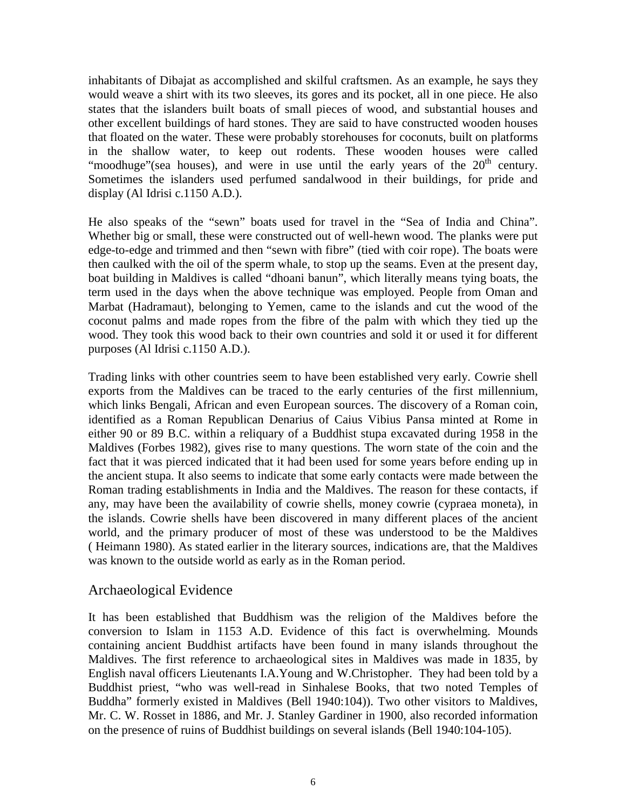inhabitants of Dibajat as accomplished and skilful craftsmen. As an example, he says they would weave a shirt with its two sleeves, its gores and its pocket, all in one piece. He also states that the islanders built boats of small pieces of wood, and substantial houses and other excellent buildings of hard stones. They are said to have constructed wooden houses that floated on the water. These were probably storehouses for coconuts, built on platforms in the shallow water, to keep out rodents. These wooden houses were called "moodhuge" (sea houses), and were in use until the early years of the  $20<sup>th</sup>$  century. Sometimes the islanders used perfumed sandalwood in their buildings, for pride and display (Al Idrisi c.1150 A.D.).

He also speaks of the "sewn" boats used for travel in the "Sea of India and China". Whether big or small, these were constructed out of well-hewn wood. The planks were put edge-to-edge and trimmed and then "sewn with fibre" (tied with coir rope). The boats were then caulked with the oil of the sperm whale, to stop up the seams. Even at the present day, boat building in Maldives is called "dhoani banun", which literally means tying boats, the term used in the days when the above technique was employed. People from Oman and Marbat (Hadramaut), belonging to Yemen, came to the islands and cut the wood of the coconut palms and made ropes from the fibre of the palm with which they tied up the wood. They took this wood back to their own countries and sold it or used it for different purposes (Al Idrisi c.1150 A.D.).

Trading links with other countries seem to have been established very early. Cowrie shell exports from the Maldives can be traced to the early centuries of the first millennium, which links Bengali, African and even European sources. The discovery of a Roman coin, identified as a Roman Republican Denarius of Caius Vibius Pansa minted at Rome in either 90 or 89 B.C. within a reliquary of a Buddhist stupa excavated during 1958 in the Maldives (Forbes 1982), gives rise to many questions. The worn state of the coin and the fact that it was pierced indicated that it had been used for some years before ending up in the ancient stupa. It also seems to indicate that some early contacts were made between the Roman trading establishments in India and the Maldives. The reason for these contacts, if any, may have been the availability of cowrie shells, money cowrie (cypraea moneta), in the islands. Cowrie shells have been discovered in many different places of the ancient world, and the primary producer of most of these was understood to be the Maldives ( Heimann 1980). As stated earlier in the literary sources, indications are, that the Maldives was known to the outside world as early as in the Roman period.

## Archaeological Evidence

It has been established that Buddhism was the religion of the Maldives before the conversion to Islam in 1153 A.D. Evidence of this fact is overwhelming. Mounds containing ancient Buddhist artifacts have been found in many islands throughout the Maldives. The first reference to archaeological sites in Maldives was made in 1835, by English naval officers Lieutenants I.A.Young and W.Christopher. They had been told by a Buddhist priest, "who was well-read in Sinhalese Books, that two noted Temples of Buddha" formerly existed in Maldives (Bell 1940:104)). Two other visitors to Maldives, Mr. C. W. Rosset in 1886, and Mr. J. Stanley Gardiner in 1900, also recorded information on the presence of ruins of Buddhist buildings on several islands (Bell 1940:104-105).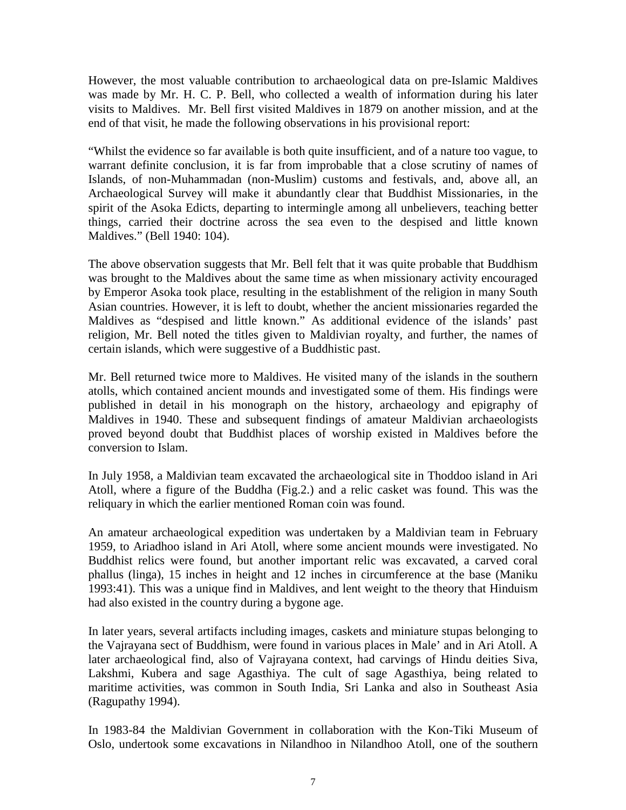However, the most valuable contribution to archaeological data on pre-Islamic Maldives was made by Mr. H. C. P. Bell, who collected a wealth of information during his later visits to Maldives. Mr. Bell first visited Maldives in 1879 on another mission, and at the end of that visit, he made the following observations in his provisional report:

"Whilst the evidence so far available is both quite insufficient, and of a nature too vague, to warrant definite conclusion, it is far from improbable that a close scrutiny of names of Islands, of non-Muhammadan (non-Muslim) customs and festivals, and, above all, an Archaeological Survey will make it abundantly clear that Buddhist Missionaries, in the spirit of the Asoka Edicts, departing to intermingle among all unbelievers, teaching better things, carried their doctrine across the sea even to the despised and little known Maldives." (Bell 1940: 104).

The above observation suggests that Mr. Bell felt that it was quite probable that Buddhism was brought to the Maldives about the same time as when missionary activity encouraged by Emperor Asoka took place, resulting in the establishment of the religion in many South Asian countries. However, it is left to doubt, whether the ancient missionaries regarded the Maldives as "despised and little known." As additional evidence of the islands' past religion, Mr. Bell noted the titles given to Maldivian royalty, and further, the names of certain islands, which were suggestive of a Buddhistic past.

Mr. Bell returned twice more to Maldives. He visited many of the islands in the southern atolls, which contained ancient mounds and investigated some of them. His findings were published in detail in his monograph on the history, archaeology and epigraphy of Maldives in 1940. These and subsequent findings of amateur Maldivian archaeologists proved beyond doubt that Buddhist places of worship existed in Maldives before the conversion to Islam.

In July 1958, a Maldivian team excavated the archaeological site in Thoddoo island in Ari Atoll, where a figure of the Buddha (Fig.2.) and a relic casket was found. This was the reliquary in which the earlier mentioned Roman coin was found.

An amateur archaeological expedition was undertaken by a Maldivian team in February 1959, to Ariadhoo island in Ari Atoll, where some ancient mounds were investigated. No Buddhist relics were found, but another important relic was excavated, a carved coral phallus (linga), 15 inches in height and 12 inches in circumference at the base (Maniku 1993:41). This was a unique find in Maldives, and lent weight to the theory that Hinduism had also existed in the country during a bygone age.

In later years, several artifacts including images, caskets and miniature stupas belonging to the Vajrayana sect of Buddhism, were found in various places in Male' and in Ari Atoll. A later archaeological find, also of Vajrayana context, had carvings of Hindu deities Siva, Lakshmi, Kubera and sage Agasthiya. The cult of sage Agasthiya, being related to maritime activities, was common in South India, Sri Lanka and also in Southeast Asia (Ragupathy 1994).

In 1983-84 the Maldivian Government in collaboration with the Kon-Tiki Museum of Oslo, undertook some excavations in Nilandhoo in Nilandhoo Atoll, one of the southern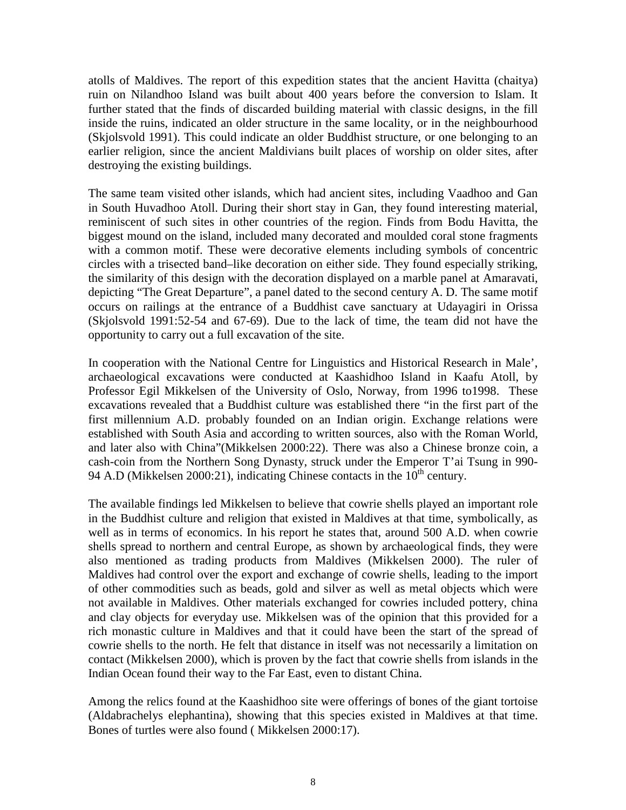atolls of Maldives. The report of this expedition states that the ancient Havitta (chaitya) ruin on Nilandhoo Island was built about 400 years before the conversion to Islam. It further stated that the finds of discarded building material with classic designs, in the fill inside the ruins, indicated an older structure in the same locality, or in the neighbourhood (Skjolsvold 1991). This could indicate an older Buddhist structure, or one belonging to an earlier religion, since the ancient Maldivians built places of worship on older sites, after destroying the existing buildings.

The same team visited other islands, which had ancient sites, including Vaadhoo and Gan in South Huvadhoo Atoll. During their short stay in Gan, they found interesting material, reminiscent of such sites in other countries of the region. Finds from Bodu Havitta, the biggest mound on the island, included many decorated and moulded coral stone fragments with a common motif. These were decorative elements including symbols of concentric circles with a trisected band–like decoration on either side. They found especially striking, the similarity of this design with the decoration displayed on a marble panel at Amaravati, depicting "The Great Departure", a panel dated to the second century A. D. The same motif occurs on railings at the entrance of a Buddhist cave sanctuary at Udayagiri in Orissa (Skjolsvold 1991:52-54 and 67-69). Due to the lack of time, the team did not have the opportunity to carry out a full excavation of the site.

In cooperation with the National Centre for Linguistics and Historical Research in Male', archaeological excavations were conducted at Kaashidhoo Island in Kaafu Atoll, by Professor Egil Mikkelsen of the University of Oslo, Norway, from 1996 to1998. These excavations revealed that a Buddhist culture was established there "in the first part of the first millennium A.D. probably founded on an Indian origin. Exchange relations were established with South Asia and according to written sources, also with the Roman World, and later also with China"(Mikkelsen 2000:22). There was also a Chinese bronze coin, a cash-coin from the Northern Song Dynasty, struck under the Emperor T'ai Tsung in 990- 94 A.D (Mikkelsen 2000:21), indicating Chinese contacts in the  $10^{th}$  century.

The available findings led Mikkelsen to believe that cowrie shells played an important role in the Buddhist culture and religion that existed in Maldives at that time, symbolically, as well as in terms of economics. In his report he states that, around 500 A.D. when cowrie shells spread to northern and central Europe, as shown by archaeological finds, they were also mentioned as trading products from Maldives (Mikkelsen 2000). The ruler of Maldives had control over the export and exchange of cowrie shells, leading to the import of other commodities such as beads, gold and silver as well as metal objects which were not available in Maldives. Other materials exchanged for cowries included pottery, china and clay objects for everyday use. Mikkelsen was of the opinion that this provided for a rich monastic culture in Maldives and that it could have been the start of the spread of cowrie shells to the north. He felt that distance in itself was not necessarily a limitation on contact (Mikkelsen 2000), which is proven by the fact that cowrie shells from islands in the Indian Ocean found their way to the Far East, even to distant China.

Among the relics found at the Kaashidhoo site were offerings of bones of the giant tortoise (Aldabrachelys elephantina), showing that this species existed in Maldives at that time. Bones of turtles were also found ( Mikkelsen 2000:17).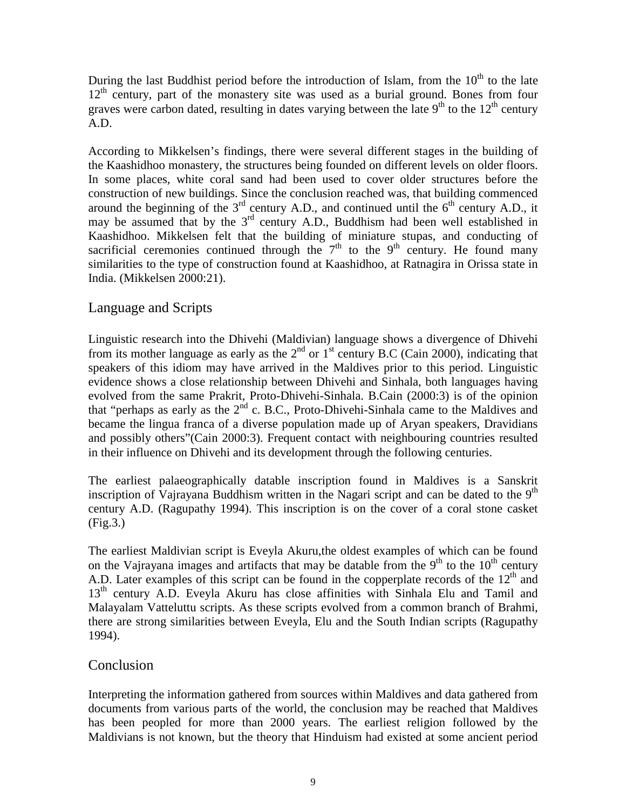During the last Buddhist period before the introduction of Islam, from the  $10<sup>th</sup>$  to the late  $12<sup>th</sup>$  century, part of the monastery site was used as a burial ground. Bones from four graves were carbon dated, resulting in dates varying between the late  $9<sup>th</sup>$  to the  $12<sup>th</sup>$  century A.D.

According to Mikkelsen's findings, there were several different stages in the building of the Kaashidhoo monastery, the structures being founded on different levels on older floors. In some places, white coral sand had been used to cover older structures before the construction of new buildings. Since the conclusion reached was, that building commenced around the beginning of the  $3<sup>rd</sup>$  century A.D., and continued until the  $6<sup>th</sup>$  century A.D., it may be assumed that by the 3<sup>rd</sup> century A.D., Buddhism had been well established in Kaashidhoo. Mikkelsen felt that the building of miniature stupas, and conducting of sacrificial ceremonies continued through the  $7<sup>th</sup>$  to the 9<sup>th</sup> century. He found many similarities to the type of construction found at Kaashidhoo, at Ratnagira in Orissa state in India. (Mikkelsen 2000:21).

## Language and Scripts

Linguistic research into the Dhivehi (Maldivian) language shows a divergence of Dhivehi from its mother language as early as the  $2<sup>nd</sup>$  or  $1<sup>st</sup>$  century B.C (Cain 2000), indicating that speakers of this idiom may have arrived in the Maldives prior to this period. Linguistic evidence shows a close relationship between Dhivehi and Sinhala, both languages having evolved from the same Prakrit, Proto-Dhivehi-Sinhala. B.Cain (2000:3) is of the opinion that "perhaps as early as the 2nd c. B.C., Proto-Dhivehi-Sinhala came to the Maldives and became the lingua franca of a diverse population made up of Aryan speakers, Dravidians and possibly others"(Cain 2000:3). Frequent contact with neighbouring countries resulted in their influence on Dhivehi and its development through the following centuries.

The earliest palaeographically datable inscription found in Maldives is a Sanskrit inscription of Vajrayana Buddhism written in the Nagari script and can be dated to the  $9<sup>th</sup>$ century A.D. (Ragupathy 1994). This inscription is on the cover of a coral stone casket (Fig.3.)

The earliest Maldivian script is Eveyla Akuru,the oldest examples of which can be found on the Vajrayana images and artifacts that may be datable from the  $9<sup>th</sup>$  to the  $10<sup>th</sup>$  century A.D. Later examples of this script can be found in the copperplate records of the  $12<sup>th</sup>$  and 13<sup>th</sup> century A.D. Eveyla Akuru has close affinities with Sinhala Elu and Tamil and Malayalam Vatteluttu scripts. As these scripts evolved from a common branch of Brahmi, there are strong similarities between Eveyla, Elu and the South Indian scripts (Ragupathy 1994).

### **Conclusion**

Interpreting the information gathered from sources within Maldives and data gathered from documents from various parts of the world, the conclusion may be reached that Maldives has been peopled for more than 2000 years. The earliest religion followed by the Maldivians is not known, but the theory that Hinduism had existed at some ancient period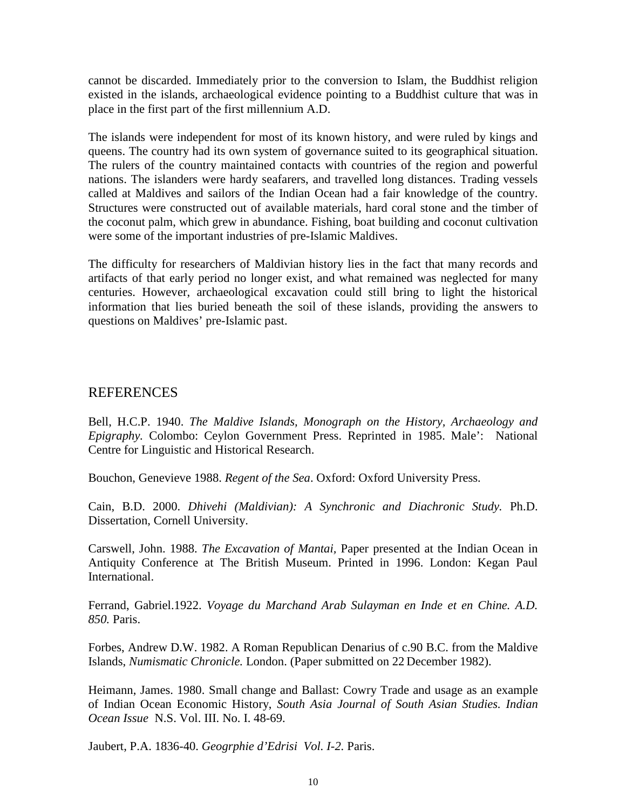cannot be discarded. Immediately prior to the conversion to Islam, the Buddhist religion existed in the islands, archaeological evidence pointing to a Buddhist culture that was in place in the first part of the first millennium A.D.

The islands were independent for most of its known history, and were ruled by kings and queens. The country had its own system of governance suited to its geographical situation. The rulers of the country maintained contacts with countries of the region and powerful nations. The islanders were hardy seafarers, and travelled long distances. Trading vessels called at Maldives and sailors of the Indian Ocean had a fair knowledge of the country. Structures were constructed out of available materials, hard coral stone and the timber of the coconut palm, which grew in abundance. Fishing, boat building and coconut cultivation were some of the important industries of pre-Islamic Maldives.

The difficulty for researchers of Maldivian history lies in the fact that many records and artifacts of that early period no longer exist, and what remained was neglected for many centuries. However, archaeological excavation could still bring to light the historical information that lies buried beneath the soil of these islands, providing the answers to questions on Maldives' pre-Islamic past.

## REFERENCES

Bell, H.C.P. 1940. *The Maldive Islands, Monograph on the History, Archaeology and Epigraphy.* Colombo: Ceylon Government Press. Reprinted in 1985. Male': National Centre for Linguistic and Historical Research.

Bouchon, Genevieve 1988. *Regent of the Sea*. Oxford: Oxford University Press.

Cain, B.D. 2000. *Dhivehi (Maldivian): A Synchronic and Diachronic Study.* Ph.D. Dissertation, Cornell University.

Carswell, John. 1988. *The Excavation of Mantai,* Paper presented at the Indian Ocean in Antiquity Conference at The British Museum. Printed in 1996. London: Kegan Paul International.

Ferrand, Gabriel.1922. *Voyage du Marchand Arab Sulayman en Inde et en Chine. A.D. 850.* Paris.

Forbes, Andrew D.W. 1982. A Roman Republican Denarius of c.90 B.C. from the Maldive Islands, *Numismatic Chronicle.* London. (Paper submitted on 22 December 1982).

Heimann, James. 1980. Small change and Ballast: Cowry Trade and usage as an example of Indian Ocean Economic History, *South Asia Journal of South Asian Studies. Indian Ocean Issue* N.S. Vol. III. No. I. 48-69.

Jaubert, P.A. 1836-40. *Geogrphie d'Edrisi Vol. I-2.* Paris.